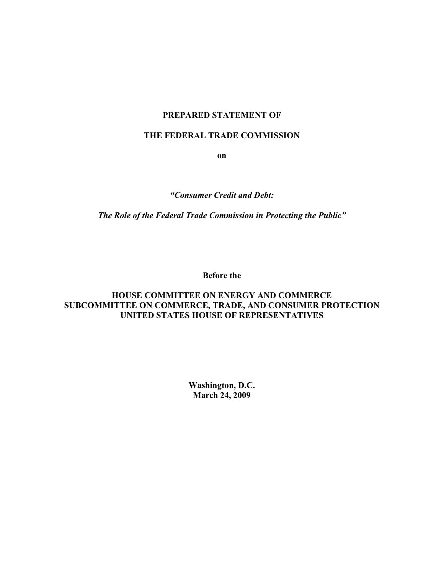# **PREPARED STATEMENT OF**

# **THE FEDERAL TRADE COMMISSION**

**on**

*"Consumer Credit and Debt:*

*The Role of the Federal Trade Commission in Protecting the Public"*

**Before the**

# **HOUSE COMMITTEE ON ENERGY AND COMMERCE SUBCOMMITTEE ON COMMERCE, TRADE, AND CONSUMER PROTECTION UNITED STATES HOUSE OF REPRESENTATIVES**

**Washington, D.C. March 24, 2009**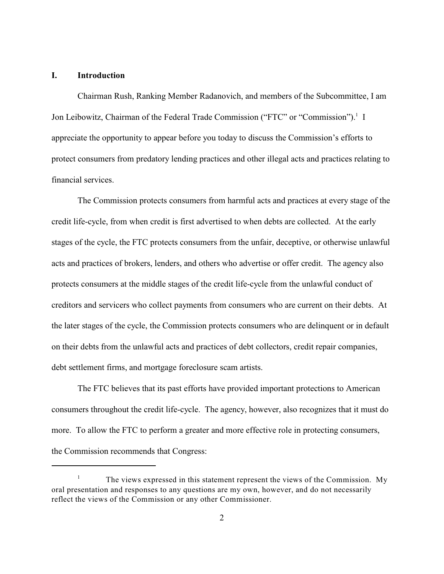# **I. Introduction**

Chairman Rush, Ranking Member Radanovich, and members of the Subcommittee, I am Jon Leibowitz, Chairman of the Federal Trade Commission ("FTC" or "Commission").<sup>1</sup> I appreciate the opportunity to appear before you today to discuss the Commission's efforts to protect consumers from predatory lending practices and other illegal acts and practices relating to financial services.

The Commission protects consumers from harmful acts and practices at every stage of the credit life-cycle, from when credit is first advertised to when debts are collected. At the early stages of the cycle, the FTC protects consumers from the unfair, deceptive, or otherwise unlawful acts and practices of brokers, lenders, and others who advertise or offer credit. The agency also protects consumers at the middle stages of the credit life-cycle from the unlawful conduct of creditors and servicers who collect payments from consumers who are current on their debts. At the later stages of the cycle, the Commission protects consumers who are delinquent or in default on their debts from the unlawful acts and practices of debt collectors, credit repair companies, debt settlement firms, and mortgage foreclosure scam artists.

The FTC believes that its past efforts have provided important protections to American consumers throughout the credit life-cycle. The agency, however, also recognizes that it must do more. To allow the FTC to perform a greater and more effective role in protecting consumers, the Commission recommends that Congress:

The views expressed in this statement represent the views of the Commission. My 1 oral presentation and responses to any questions are my own, however, and do not necessarily reflect the views of the Commission or any other Commissioner.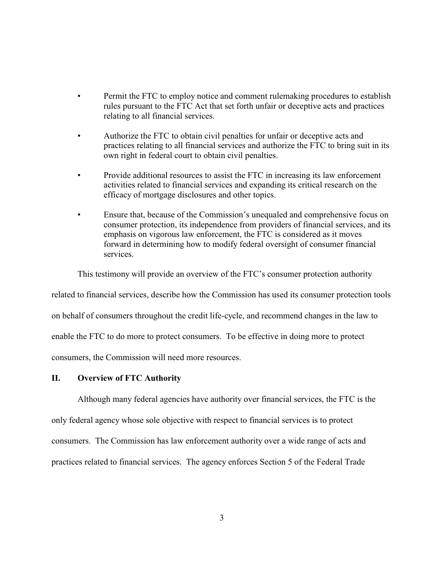- Permit the FTC to employ notice and comment rulemaking procedures to establish rules pursuant to the FTC Act that set forth unfair or deceptive acts and practices relating to all financial services.
- Authorize the FTC to obtain civil penalties for unfair or deceptive acts and practices relating to all financial services and authorize the FTC to bring suit in its own right in federal court to obtain civil penalties.
- Provide additional resources to assist the FTC in increasing its law enforcement activities related to financial services and expanding its critical research on the efficacy of mortgage disclosures and other topics.
- Ensure that, because of the Commission's unequaled and comprehensive focus on consumer protection, its independence from providers of financial services, and its emphasis on vigorous law enforcement, the FTC is considered as it moves forward in determining how to modify federal oversight of consumer financial services.

This testimony will provide an overview of the FTC's consumer protection authority

related to financial services, describe how the Commission has used its consumer protection tools on behalf of consumers throughout the credit life-cycle, and recommend changes in the law to enable the FTC to do more to protect consumers. To be effective in doing more to protect consumers, the Commission will need more resources.

#### **II. Overview of FTC Authority**

Although many federal agencies have authority over financial services, the FTC is the only federal agency whose sole objective with respect to financial services is to protect consumers. The Commission has law enforcement authority over a wide range of acts and practices related to financial services. The agency enforces Section 5 of the Federal Trade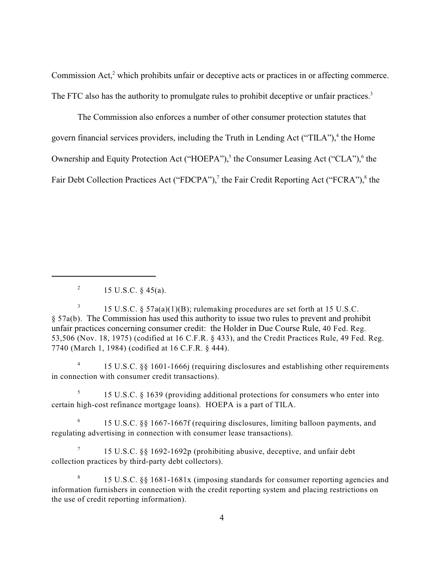Commission Act, $2$  which prohibits unfair or deceptive acts or practices in or affecting commerce. The FTC also has the authority to promulgate rules to prohibit deceptive or unfair practices.<sup>3</sup>

The Commission also enforces a number of other consumer protection statutes that govern financial services providers, including the Truth in Lending Act ("TILA"),<sup>4</sup> the Home Ownership and Equity Protection Act ("HOEPA"),<sup>5</sup> the Consumer Leasing Act ("CLA"),<sup>6</sup> the Fair Debt Collection Practices Act ("FDCPA"),<sup>7</sup> the Fair Credit Reporting Act ("FCRA"),<sup>8</sup> the

15 U.S.C. §§ 1601-1666j (requiring disclosures and establishing other requirements <sup>4</sup> in connection with consumer credit transactions).

15 U.S.C. § 1639 (providing additional protections for consumers who enter into <sup>5</sup> certain high-cost refinance mortgage loans). HOEPA is a part of TILA.

<sup>6</sup> 15 U.S.C.  $\&$  1667-1667f (requiring disclosures, limiting balloon payments, and regulating advertising in connection with consumer lease transactions).

<sup>7</sup> 15 U.S.C. §§ 1692-1692p (prohibiting abusive, deceptive, and unfair debt collection practices by third-party debt collectors).

<sup>8</sup> 15 U.S.C. §§ 1681-1681x (imposing standards for consumer reporting agencies and information furnishers in connection with the credit reporting system and placing restrictions on the use of credit reporting information).

<sup>&</sup>lt;sup>2</sup> 15 U.S.C. § 45(a).

<sup>&</sup>lt;sup>3</sup> 15 U.S.C. § 57a(a)(1)(B); rulemaking procedures are set forth at 15 U.S.C. § 57a(b). The Commission has used this authority to issue two rules to prevent and prohibit unfair practices concerning consumer credit: the Holder in Due Course Rule, 40 Fed. Reg. 53,506 (Nov. 18, 1975) (codified at 16 C.F.R. § 433), and the Credit Practices Rule, 49 Fed. Reg. 7740 (March 1, 1984) (codified at 16 C.F.R. § 444).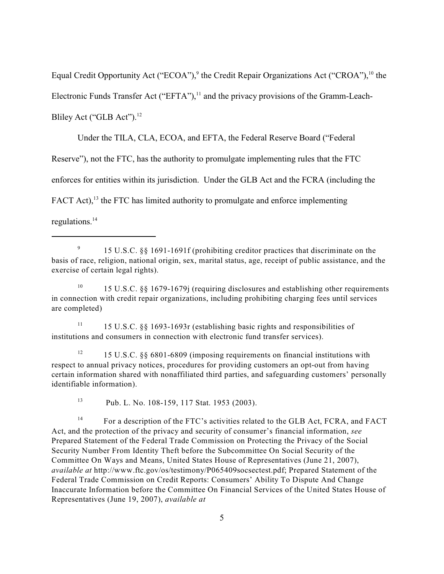Equal Credit Opportunity Act ("ECOA"), $9$  the Credit Repair Organizations Act ("CROA"),  $10$  the Electronic Funds Transfer Act ("EFTA"), $<sup>11</sup>$  and the privacy provisions of the Gramm-Leach-</sup> Bliley Act ("GLB Act").<sup>12</sup>

Under the TILA, CLA, ECOA, and EFTA, the Federal Reserve Board ("Federal

Reserve"), not the FTC, has the authority to promulgate implementing rules that the FTC

enforces for entities within its jurisdiction. Under the GLB Act and the FCRA (including the

FACT Act),  $13$  the FTC has limited authority to promulgate and enforce implementing

regulations. 14

<sup>10</sup> 15 U.S.C. §§ 1679-1679j (requiring disclosures and establishing other requirements in connection with credit repair organizations, including prohibiting charging fees until services are completed)

<sup>11</sup> 15 U.S.C. §§ 1693-1693r (establishing basic rights and responsibilities of institutions and consumers in connection with electronic fund transfer services).

15 U.S.C. §§ 6801-6809 (imposing requirements on financial institutions with 12 respect to annual privacy notices, procedures for providing customers an opt-out from having certain information shared with nonaffiliated third parties, and safeguarding customers' personally identifiable information).

<sup>13</sup> Pub. L. No. 108-159, 117 Stat. 1953 (2003).

 $F<sup>14</sup>$  For a description of the FTC's activities related to the GLB Act, FCRA, and FACT Act, and the protection of the privacy and security of consumer's financial information, *see* Prepared Statement of the Federal Trade Commission on Protecting the Privacy of the Social Security Number From Identity Theft before the Subcommittee On Social Security of the Committee On Ways and Means, United States House of Representatives (June 21, 2007), *available at* http://www.ftc.gov/os/testimony/P065409socsectest.pdf; Prepared Statement of the Federal Trade Commission on Credit Reports: Consumers' Ability To Dispute And Change Inaccurate Information before the Committee On Financial Services of the United States House of Representatives (June 19, 2007), *available at*

<sup>&</sup>lt;sup>9</sup> 15 U.S.C. §§ 1691-1691f (prohibiting creditor practices that discriminate on the basis of race, religion, national origin, sex, marital status, age, receipt of public assistance, and the exercise of certain legal rights).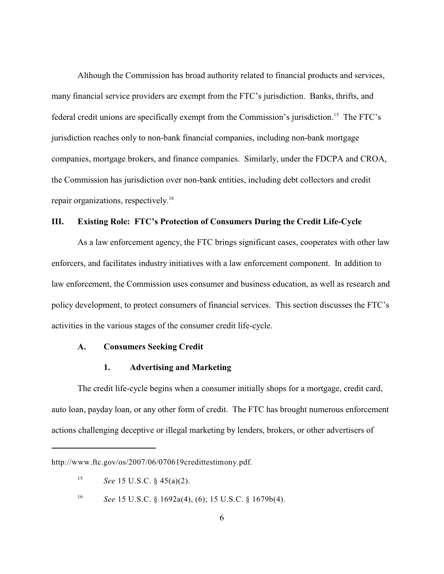Although the Commission has broad authority related to financial products and services, many financial service providers are exempt from the FTC's jurisdiction. Banks, thrifts, and federal credit unions are specifically exempt from the Commission's jurisdiction.<sup>15</sup> The FTC's jurisdiction reaches only to non-bank financial companies, including non-bank mortgage companies, mortgage brokers, and finance companies. Similarly, under the FDCPA and CROA, the Commission has jurisdiction over non-bank entities, including debt collectors and credit repair organizations, respectively.<sup>16</sup>

# **III. Existing Role: FTC's Protection of Consumers During the Credit Life-Cycle**

As a law enforcement agency, the FTC brings significant cases, cooperates with other law enforcers, and facilitates industry initiatives with a law enforcement component. In addition to law enforcement, the Commission uses consumer and business education, as well as research and policy development, to protect consumers of financial services. This section discusses the FTC's activities in the various stages of the consumer credit life-cycle.

### **A. Consumers Seeking Credit**

#### **1. Advertising and Marketing**

The credit life-cycle begins when a consumer initially shops for a mortgage, credit card, auto loan, payday loan, or any other form of credit. The FTC has brought numerous enforcement actions challenging deceptive or illegal marketing by lenders, brokers, or other advertisers of

http://www.ftc.gov/os/2007/06/070619credittestimony.pdf.

<sup>&</sup>lt;sup>15</sup> *See* 15 U.S.C. § 45(a)(2).

<sup>&</sup>lt;sup>16</sup> *See* 15 U.S.C. § 1692a(4), (6); 15 U.S.C. § 1679b(4).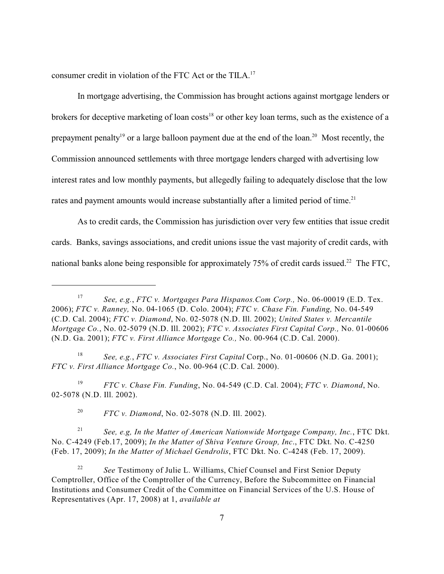consumer credit in violation of the FTC Act or the TILA.<sup>17</sup>

In mortgage advertising, the Commission has brought actions against mortgage lenders or brokers for deceptive marketing of loan costs<sup>18</sup> or other key loan terms, such as the existence of a prepayment penalty<sup>19</sup> or a large balloon payment due at the end of the loan.<sup>20</sup> Most recently, the Commission announced settlements with three mortgage lenders charged with advertising low interest rates and low monthly payments, but allegedly failing to adequately disclose that the low rates and payment amounts would increase substantially after a limited period of time.<sup>21</sup>

As to credit cards, the Commission has jurisdiction over very few entities that issue credit cards. Banks, savings associations, and credit unions issue the vast majority of credit cards, with national banks alone being responsible for approximately  $75%$  of credit cards issued.<sup>22</sup> The FTC,

*See, e.g.*, *FTC v. Associates First Capital* Corp., No. 01-00606 (N.D. Ga. 2001); <sup>18</sup> *FTC v. First Alliance Mortgage Co.*, No. 00-964 (C.D. Cal. 2000).

*FTC v. Chase Fin. Funding*, No. 04-549 (C.D. Cal. 2004); *FTC v. Diamond*, No. <sup>19</sup> 02-5078 (N.D. Ill. 2002).

<sup>20</sup> *FTC v. Diamond*, No. 02-5078 (N.D. Ill. 2002).

*See, e.g, In the Matter of American Nationwide Mortgage Company, Inc.*, FTC Dkt. <sup>21</sup> No. C-4249 (Feb.17, 2009); *In the Matter of Shiva Venture Group, Inc*., FTC Dkt. No. C-4250 (Feb. 17, 2009); *In the Matter of Michael Gendrolis*, FTC Dkt. No. C-4248 (Feb. 17, 2009).

<sup>22</sup> *See* Testimony of Julie L. Williams, Chief Counsel and First Senior Deputy Comptroller, Office of the Comptroller of the Currency, Before the Subcommittee on Financial Institutions and Consumer Credit of the Committee on Financial Services of the U.S. House of Representatives (Apr. 17, 2008) at 1, *available at*

*See, e.g.*, *FTC v. Mortgages Para Hispanos.Com Corp.,* No. 06-00019 (E.D. Tex. <sup>17</sup> 2006); *FTC v. Ranney,* No. 04-1065 (D. Colo. 2004); *FTC v. Chase Fin. Funding,* No. 04-549 (C.D. Cal. 2004); *FTC v. Diamond*, No. 02-5078 (N.D. Ill. 2002); *United States v. Mercantile Mortgage Co.*, No. 02-5079 (N.D. Ill. 2002); *FTC v. Associates First Capital Corp.,* No. 01-00606 (N.D. Ga. 2001); *FTC v. First Alliance Mortgage Co.,* No. 00-964 (C.D. Cal. 2000).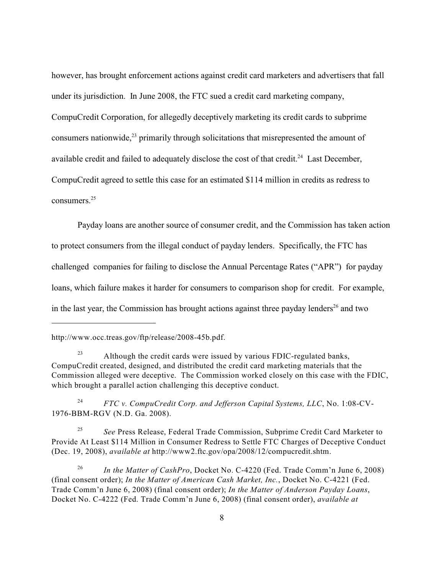however, has brought enforcement actions against credit card marketers and advertisers that fall under its jurisdiction. In June 2008, the FTC sued a credit card marketing company, CompuCredit Corporation, for allegedly deceptively marketing its credit cards to subprime consumers nationwide, $23$  primarily through solicitations that misrepresented the amount of available credit and failed to adequately disclose the cost of that credit.<sup>24</sup> Last December, CompuCredit agreed to settle this case for an estimated \$114 million in credits as redress to consumers. 25

Payday loans are another source of consumer credit, and the Commission has taken action to protect consumers from the illegal conduct of payday lenders. Specifically, the FTC has challenged companies for failing to disclose the Annual Percentage Rates ("APR") for payday loans, which failure makes it harder for consumers to comparison shop for credit. For example, in the last year, the Commission has brought actions against three payday lenders $^{26}$  and two

<sup>24</sup> *FTC v. CompuCredit Corp. and Jefferson Capital Systems, LLC*, No. 1:08-CV-1976-BBM-RGV (N.D. Ga. 2008).

<sup>25</sup> See Press Release, Federal Trade Commission, Subprime Credit Card Marketer to Provide At Least \$114 Million in Consumer Redress to Settle FTC Charges of Deceptive Conduct (Dec. 19, 2008), *available at* http://www2.ftc.gov/opa/2008/12/compucredit.shtm.

<sup>26</sup> *In the Matter of CashPro*, Docket No. C-4220 (Fed. Trade Comm'n June 6, 2008) (final consent order); *In the Matter of American Cash Market, Inc.*, Docket No. C-4221 (Fed. Trade Comm'n June 6, 2008) (final consent order); *In the Matter of Anderson Payday Loans*, Docket No. C-4222 (Fed. Trade Comm'n June 6, 2008) (final consent order), *available at*

http://www.occ.treas.gov/ftp/release/2008-45b.pdf.

 $23$  Although the credit cards were issued by various FDIC-regulated banks, CompuCredit created, designed, and distributed the credit card marketing materials that the Commission alleged were deceptive. The Commission worked closely on this case with the FDIC, which brought a parallel action challenging this deceptive conduct.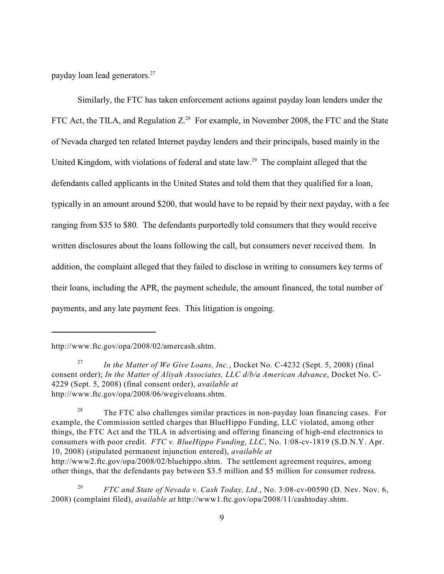payday loan lead generators.<sup>27</sup>

Similarly, the FTC has taken enforcement actions against payday loan lenders under the FTC Act, the TILA, and Regulation  $Z^{28}$  For example, in November 2008, the FTC and the State of Nevada charged ten related Internet payday lenders and their principals, based mainly in the United Kingdom, with violations of federal and state  $law<sup>29</sup>$ . The complaint alleged that the defendants called applicants in the United States and told them that they qualified for a loan, typically in an amount around \$200, that would have to be repaid by their next payday, with a fee ranging from \$35 to \$80. The defendants purportedly told consumers that they would receive written disclosures about the loans following the call, but consumers never received them. In addition, the complaint alleged that they failed to disclose in writing to consumers key terms of their loans, including the APR, the payment schedule, the amount financed, the total number of payments, and any late payment fees. This litigation is ongoing.

other things, that the defendants pay between \$3.5 million and \$5 million for consumer redress.

http://www.ftc.gov/opa/2008/02/amercash.shtm.

*In the Matter of We Give Loans, Inc., Docket No. C-4232 (Sept. 5, 2008) (final* consent order); *In the Matter of Aliyah Associates, LLC d/b/a American Advance*, Docket No. C-4229 (Sept. 5, 2008) (final consent order), *available at* http://www.ftc.gov/opa/2008/06/wegiveloans.shtm.

<sup>&</sup>lt;sup>28</sup> The FTC also challenges similar practices in non-payday loan financing cases. For example, the Commission settled charges that BlueHippo Funding, LLC violated, among other things, the FTC Act and the TILA in advertising and offering financing of high-end electronics to consumers with poor credit. *FTC v. BlueHippo Funding, LLC*, No. 1:08-cv-1819 (S.D.N.Y. Apr. 10, 2008) (stipulated permanent injunction entered), *available at* http://www2.ftc.gov/opa/2008/02/bluehippo.shtm. The settlement agreement requires, among

<sup>&</sup>lt;sup>29</sup> *FTC and State of Nevada v. Cash Today, Ltd., No.* 3:08-cv-00590 (D. Nev. Nov. 6, 2008) (complaint filed), *available at* http://www1.ftc.gov/opa/2008/11/cashtoday.shtm.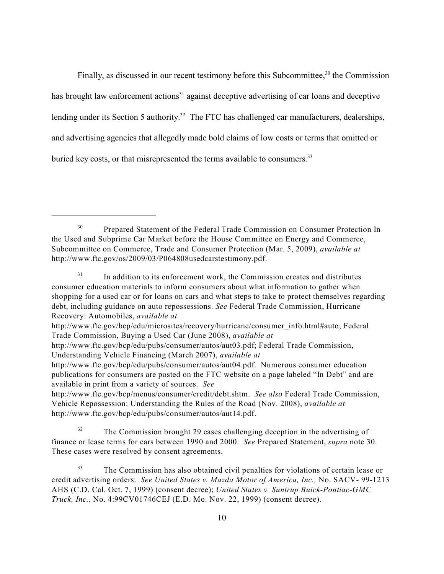Finally, as discussed in our recent testimony before this Subcommittee, $30$  the Commission has brought law enforcement actions<sup>31</sup> against deceptive advertising of car loans and deceptive lending under its Section 5 authority.<sup>32</sup> The FTC has challenged car manufacturers, dealerships, and advertising agencies that allegedly made bold claims of low costs or terms that omitted or buried key costs, or that misrepresented the terms available to consumers.<sup>33</sup>

Prepared Statement of the Federal Trade Commission on Consumer Protection In 30 the Used and Subprime Car Market before the House Committee on Energy and Commerce, Subcommittee on Commerce, Trade and Consumer Protection (Mar. 5, 2009), *available at* http://www.ftc.gov/os/2009/03/P064808usedcarstestimony.pdf.

 $\frac{31}{10}$  In addition to its enforcement work, the Commission creates and distributes consumer education materials to inform consumers about what information to gather when shopping for a used car or for loans on cars and what steps to take to protect themselves regarding debt, including guidance on auto repossessions. *See* Federal Trade Commission, Hurricane Recovery: Automobiles, *available at*

http://www.ftc.gov/bcp/edu/microsites/recovery/hurricane/consumer\_info.html#auto; Federal Trade Commission, Buying a Used Car (June 2008), *available at*

http://www.ftc.gov/bcp/edu/pubs/consumer/autos/aut03.pdf; Federal Trade Commission, Understanding Vehicle Financing (March 2007), *available at*

http://www.ftc.gov/bcp/edu/pubs/consumer/autos/aut04.pdf. Numerous consumer education publications for consumers are posted on the FTC website on a page labeled "In Debt" and are available in print from a variety of sources. *See*

http://www.ftc.gov/bcp/menus/consumer/credit/debt.shtm. *See also* Federal Trade Commission, Vehicle Repossession: Understanding the Rules of the Road (Nov. 2008), *available at* http://www.ftc.gov/bcp/edu/pubs/consumer/autos/aut14.pdf.

<sup>&</sup>lt;sup>32</sup> The Commission brought 29 cases challenging deception in the advertising of finance or lease terms for cars between 1990 and 2000. *See* Prepared Statement, *supra* note 30. These cases were resolved by consent agreements.

<sup>&</sup>lt;sup>33</sup> The Commission has also obtained civil penalties for violations of certain lease or credit advertising orders. *See United States v. Mazda Motor of America, Inc.,* No. SACV- 99-1213 AHS (C.D. Cal. Oct. 7, 1999) (consent decree); *United States v. Suntrup Buick-Pontiac-GMC Truck, Inc.,* No. 4:99CV01746CEJ (E.D. Mo. Nov. 22, 1999) (consent decree).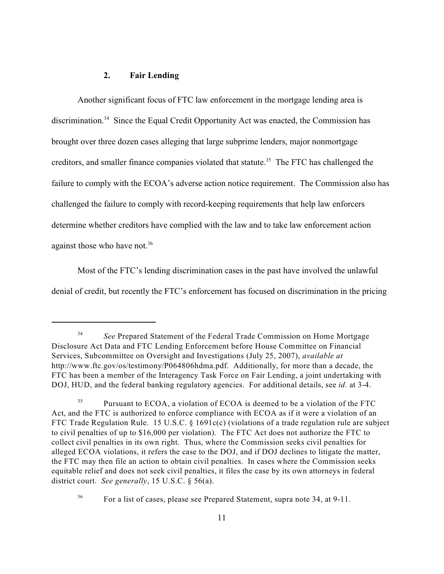### **2. Fair Lending**

Another significant focus of FTC law enforcement in the mortgage lending area is discrimination.<sup>34</sup> Since the Equal Credit Opportunity Act was enacted, the Commission has brought over three dozen cases alleging that large subprime lenders, major nonmortgage creditors, and smaller finance companies violated that statute.<sup>35</sup> The FTC has challenged the failure to comply with the ECOA's adverse action notice requirement. The Commission also has challenged the failure to comply with record-keeping requirements that help law enforcers determine whether creditors have complied with the law and to take law enforcement action against those who have not.<sup>36</sup>

Most of the FTC's lending discrimination cases in the past have involved the unlawful denial of credit, but recently the FTC's enforcement has focused on discrimination in the pricing

<sup>&</sup>lt;sup>34</sup> See Prepared Statement of the Federal Trade Commission on Home Mortgage Disclosure Act Data and FTC Lending Enforcement before House Committee on Financial Services, Subcommittee on Oversight and Investigations (July 25, 2007), *available at* http://www.ftc.gov/os/testimony/P064806hdma.pdf. Additionally, for more than a decade, the FTC has been a member of the Interagency Task Force on Fair Lending, a joint undertaking with DOJ, HUD, and the federal banking regulatory agencies. For additional details, see *id.* at 3-4.

Pursuant to ECOA, a violation of ECOA is deemed to be a violation of the FTC 35 Act, and the FTC is authorized to enforce compliance with ECOA as if it were a violation of an FTC Trade Regulation Rule. 15 U.S.C. § 1691c(c) (violations of a trade regulation rule are subject to civil penalties of up to \$16,000 per violation). The FTC Act does not authorize the FTC to collect civil penalties in its own right. Thus, where the Commission seeks civil penalties for alleged ECOA violations, it refers the case to the DOJ, and if DOJ declines to litigate the matter, the FTC may then file an action to obtain civil penalties. In cases where the Commission seeks equitable relief and does not seek civil penalties, it files the case by its own attorneys in federal district court. *See generally*, 15 U.S.C. § 56(a).

<sup>&</sup>lt;sup>36</sup> For a list of cases, please see Prepared Statement, supra note 34, at 9-11.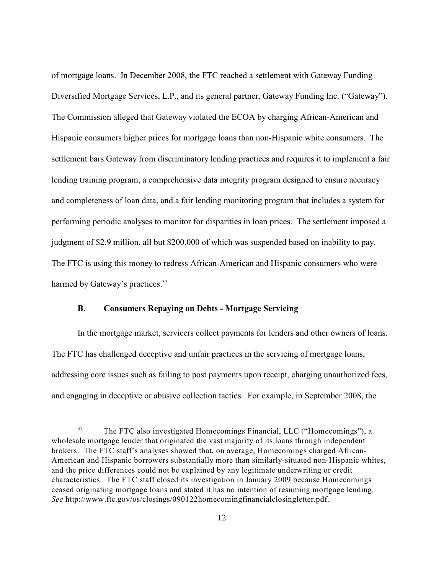of mortgage loans. In December 2008, the FTC reached a settlement with Gateway Funding Diversified Mortgage Services, L.P., and its general partner, Gateway Funding Inc. ("Gateway"). The Commission alleged that Gateway violated the ECOA by charging African-American and Hispanic consumers higher prices for mortgage loans than non-Hispanic white consumers. The settlement bars Gateway from discriminatory lending practices and requires it to implement a fair lending training program, a comprehensive data integrity program designed to ensure accuracy and completeness of loan data, and a fair lending monitoring program that includes a system for performing periodic analyses to monitor for disparities in loan prices. The settlement imposed a judgment of \$2.9 million, all but \$200,000 of which was suspended based on inability to pay. The FTC is using this money to redress African-American and Hispanic consumers who were harmed by Gateway's practices.<sup>37</sup>

### **B. Consumers Repaying on Debts - Mortgage Servicing**

In the mortgage market, servicers collect payments for lenders and other owners of loans. The FTC has challenged deceptive and unfair practices in the servicing of mortgage loans, addressing core issues such as failing to post payments upon receipt, charging unauthorized fees, and engaging in deceptive or abusive collection tactics. For example, in September 2008, the

<sup>&</sup>lt;sup>37</sup> The FTC also investigated Homecomings Financial, LLC ("Homecomings"), a wholesale mortgage lender that originated the vast majority of its loans through independent brokers. The FTC staff's analyses showed that, on average, Homecomings charged African-American and Hispanic borrowers substantially more than similarly-situated non-Hispanic whites, and the price differences could not be explained by any legitimate underwriting or credit characteristics. The FTC staff closed its investigation in January 2009 because Homecomings ceased originating mortgage loans and stated it has no intention of resuming mortgage lending. *See* http://www.ftc.gov/os/closings/090122homecomingfinancialclosingletter.pdf.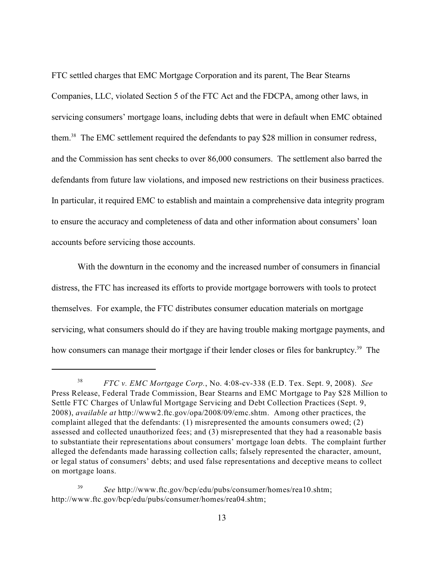FTC settled charges that EMC Mortgage Corporation and its parent, The Bear Stearns Companies, LLC, violated Section 5 of the FTC Act and the FDCPA, among other laws, in servicing consumers' mortgage loans, including debts that were in default when EMC obtained them.<sup>38</sup> The EMC settlement required the defendants to pay \$28 million in consumer redress, and the Commission has sent checks to over 86,000 consumers. The settlement also barred the defendants from future law violations, and imposed new restrictions on their business practices. In particular, it required EMC to establish and maintain a comprehensive data integrity program to ensure the accuracy and completeness of data and other information about consumers' loan accounts before servicing those accounts.

With the downturn in the economy and the increased number of consumers in financial distress, the FTC has increased its efforts to provide mortgage borrowers with tools to protect themselves. For example, the FTC distributes consumer education materials on mortgage servicing, what consumers should do if they are having trouble making mortgage payments, and how consumers can manage their mortgage if their lender closes or files for bankruptcy.<sup>39</sup> The

<sup>&</sup>lt;sup>38</sup> *FTC v. EMC Mortgage Corp.*, No. 4:08-cv-338 (E.D. Tex. Sept. 9, 2008). *See* Press Release, Federal Trade Commission, Bear Stearns and EMC Mortgage to Pay \$28 Million to Settle FTC Charges of Unlawful Mortgage Servicing and Debt Collection Practices (Sept. 9, 2008), *available at* http://www2.ftc.gov/opa/2008/09/emc.shtm. Among other practices, the complaint alleged that the defendants: (1) misrepresented the amounts consumers owed; (2) assessed and collected unauthorized fees; and (3) misrepresented that they had a reasonable basis to substantiate their representations about consumers' mortgage loan debts. The complaint further alleged the defendants made harassing collection calls; falsely represented the character, amount, or legal status of consumers' debts; and used false representations and deceptive means to collect on mortgage loans.

<sup>&</sup>lt;sup>39</sup> *See* http://www.ftc.gov/bcp/edu/pubs/consumer/homes/rea10.shtm; http://www.ftc.gov/bcp/edu/pubs/consumer/homes/rea04.shtm;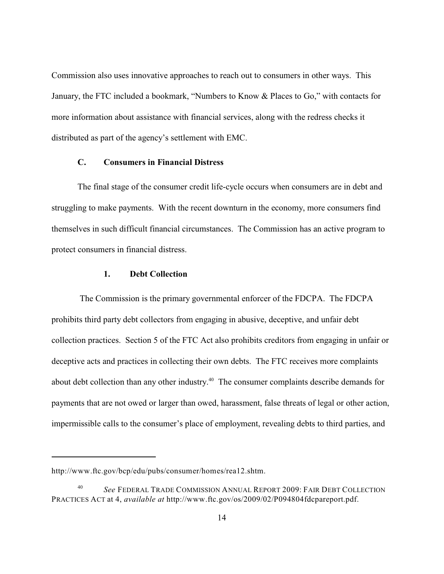Commission also uses innovative approaches to reach out to consumers in other ways. This January, the FTC included a bookmark, "Numbers to Know & Places to Go," with contacts for more information about assistance with financial services, along with the redress checks it distributed as part of the agency's settlement with EMC.

# **C. Consumers in Financial Distress**

The final stage of the consumer credit life-cycle occurs when consumers are in debt and struggling to make payments. With the recent downturn in the economy, more consumers find themselves in such difficult financial circumstances. The Commission has an active program to protect consumers in financial distress.

### **1. Debt Collection**

 The Commission is the primary governmental enforcer of the FDCPA. The FDCPA prohibits third party debt collectors from engaging in abusive, deceptive, and unfair debt collection practices. Section 5 of the FTC Act also prohibits creditors from engaging in unfair or deceptive acts and practices in collecting their own debts. The FTC receives more complaints about debt collection than any other industry.<sup>40</sup> The consumer complaints describe demands for payments that are not owed or larger than owed, harassment, false threats of legal or other action, impermissible calls to the consumer's place of employment, revealing debts to third parties, and

http://www.ftc.gov/bcp/edu/pubs/consumer/homes/rea12.shtm.

<sup>&</sup>lt;sup>40</sup> See FEDERAL TRADE COMMISSION ANNUAL REPORT 2009: FAIR DEBT COLLECTION PRACTICES ACT at 4, *available at* http://www.ftc.gov/os/2009/02/P094804fdcpareport.pdf.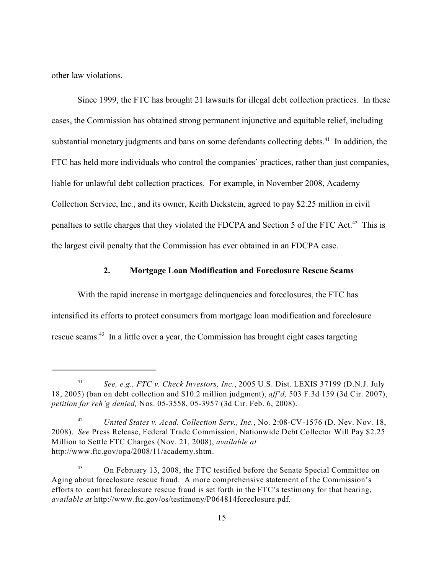other law violations.

Since 1999, the FTC has brought 21 lawsuits for illegal debt collection practices. In these cases, the Commission has obtained strong permanent injunctive and equitable relief, including substantial monetary judgments and bans on some defendants collecting debts. $41$  In addition, the FTC has held more individuals who control the companies' practices, rather than just companies, liable for unlawful debt collection practices. For example, in November 2008, Academy Collection Service, Inc., and its owner, Keith Dickstein, agreed to pay \$2.25 million in civil penalties to settle charges that they violated the FDCPA and Section 5 of the FTC Act.<sup>42</sup> This is the largest civil penalty that the Commission has ever obtained in an FDCPA case.

### **2. Mortgage Loan Modification and Foreclosure Rescue Scams**

With the rapid increase in mortgage delinquencies and foreclosures, the FTC has intensified its efforts to protect consumers from mortgage loan modification and foreclosure rescue scams.<sup>43</sup> In a little over a year, the Commission has brought eight cases targeting

<sup>&</sup>lt;sup>41</sup> See, e.g., FTC v. Check Investors, Inc., 2005 U.S. Dist. LEXIS 37199 (D.N.J. July 18, 2005) (ban on debt collection and \$10.2 million judgment), *aff'd,* 503 F.3d 159 (3d Cir. 2007), *petition for reh'g denied,* Nos. 05-3558, 05-3957 (3d Cir. Feb. 6, 2008).

*United States v. Acad. Collection Serv., Inc.*, No. 2:08-CV-1576 (D. Nev. Nov. 18, 42 2008). *See* Press Release, Federal Trade Commission, Nationwide Debt Collector Will Pay \$2.25 Million to Settle FTC Charges (Nov. 21, 2008), *available at* http://www.ftc.gov/opa/2008/11/academy.shtm.

On February 13, 2008, the FTC testified before the Senate Special Committee on <sup>43</sup> Aging about foreclosure rescue fraud. A more comprehensive statement of the Commission's efforts to combat foreclosure rescue fraud is set forth in the FTC's testimony for that hearing, *available at* http://www.ftc.gov/os/testimony/P064814foreclosure.pdf.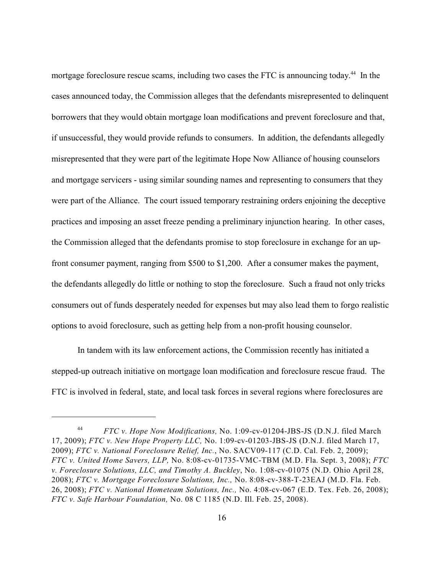mortgage foreclosure rescue scams, including two cases the FTC is announcing today.<sup>44</sup> In the cases announced today, the Commission alleges that the defendants misrepresented to delinquent borrowers that they would obtain mortgage loan modifications and prevent foreclosure and that, if unsuccessful, they would provide refunds to consumers. In addition, the defendants allegedly misrepresented that they were part of the legitimate Hope Now Alliance of housing counselors and mortgage servicers - using similar sounding names and representing to consumers that they were part of the Alliance. The court issued temporary restraining orders enjoining the deceptive practices and imposing an asset freeze pending a preliminary injunction hearing. In other cases, the Commission alleged that the defendants promise to stop foreclosure in exchange for an upfront consumer payment, ranging from \$500 to \$1,200. After a consumer makes the payment, the defendants allegedly do little or nothing to stop the foreclosure. Such a fraud not only tricks consumers out of funds desperately needed for expenses but may also lead them to forgo realistic options to avoid foreclosure, such as getting help from a non-profit housing counselor.

In tandem with its law enforcement actions, the Commission recently has initiated a stepped-up outreach initiative on mortgage loan modification and foreclosure rescue fraud. The FTC is involved in federal, state, and local task forces in several regions where foreclosures are

*FTC v. Hope Now Modifications,* No. 1:09-cv-01204-JBS-JS (D.N.J. filed March <sup>44</sup> 17, 2009); *FTC v. New Hope Property LLC,* No. 1:09-cv-01203-JBS-JS (D.N.J. filed March 17, 2009); *FTC v. National Foreclosure Relief, Inc.*, No. SACV09-117 (C.D. Cal. Feb. 2, 2009); *FTC v. United Home Savers, LLP,* No. 8:08-cv-01735-VMC-TBM (M.D. Fla. Sept. 3, 2008); *FTC v. Foreclosure Solutions, LLC, and Timothy A. Buckley*, No. 1:08-cv-01075 (N.D. Ohio April 28, 2008); *FTC v. Mortgage Foreclosure Solutions, Inc.,* No. 8:08-cv-388-T-23EAJ (M.D. Fla. Feb. 26, 2008); *FTC v. National Hometeam Solutions, Inc.,* No. 4:08-cv-067 (E.D. Tex. Feb. 26, 2008); *FTC v. Safe Harbour Foundation,* No. 08 C 1185 (N.D. Ill. Feb. 25, 2008).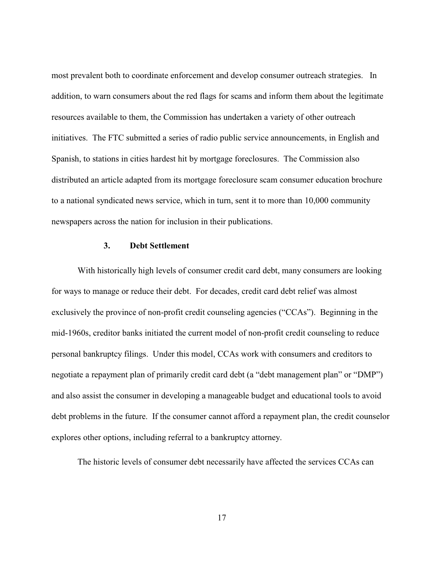most prevalent both to coordinate enforcement and develop consumer outreach strategies. In addition, to warn consumers about the red flags for scams and inform them about the legitimate resources available to them, the Commission has undertaken a variety of other outreach initiatives. The FTC submitted a series of radio public service announcements, in English and Spanish, to stations in cities hardest hit by mortgage foreclosures. The Commission also distributed an article adapted from its mortgage foreclosure scam consumer education brochure to a national syndicated news service, which in turn, sent it to more than 10,000 community newspapers across the nation for inclusion in their publications.

#### **3. Debt Settlement**

With historically high levels of consumer credit card debt, many consumers are looking for ways to manage or reduce their debt. For decades, credit card debt relief was almost exclusively the province of non-profit credit counseling agencies ("CCAs"). Beginning in the mid-1960s, creditor banks initiated the current model of non-profit credit counseling to reduce personal bankruptcy filings. Under this model, CCAs work with consumers and creditors to negotiate a repayment plan of primarily credit card debt (a "debt management plan" or "DMP") and also assist the consumer in developing a manageable budget and educational tools to avoid debt problems in the future. If the consumer cannot afford a repayment plan, the credit counselor explores other options, including referral to a bankruptcy attorney.

The historic levels of consumer debt necessarily have affected the services CCAs can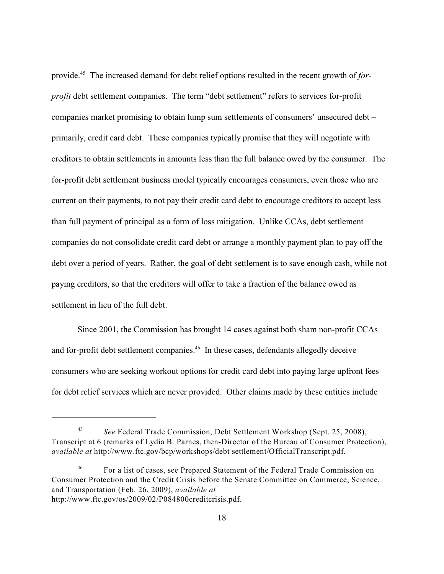provide.<sup>45</sup> The increased demand for debt relief options resulted in the recent growth of *forprofit* debt settlement companies. The term "debt settlement" refers to services for-profit companies market promising to obtain lump sum settlements of consumers' unsecured debt – primarily, credit card debt. These companies typically promise that they will negotiate with creditors to obtain settlements in amounts less than the full balance owed by the consumer. The for-profit debt settlement business model typically encourages consumers, even those who are current on their payments, to not pay their credit card debt to encourage creditors to accept less than full payment of principal as a form of loss mitigation. Unlike CCAs, debt settlement companies do not consolidate credit card debt or arrange a monthly payment plan to pay off the debt over a period of years. Rather, the goal of debt settlement is to save enough cash, while not paying creditors, so that the creditors will offer to take a fraction of the balance owed as settlement in lieu of the full debt.

 Since 2001, the Commission has brought 14 cases against both sham non-profit CCAs and for-profit debt settlement companies.<sup> $46$ </sup> In these cases, defendants allegedly deceive consumers who are seeking workout options for credit card debt into paying large upfront fees for debt relief services which are never provided. Other claims made by these entities include

*See* Federal Trade Commission, Debt Settlement Workshop (Sept. 25, 2008), <sup>45</sup> Transcript at 6 (remarks of Lydia B. Parnes, then-Director of the Bureau of Consumer Protection), *available at* http://www.ftc.gov/bcp/workshops/debt settlement/OfficialTranscript.pdf.

For a list of cases, see Prepared Statement of the Federal Trade Commission on <sup>46</sup> Consumer Protection and the Credit Crisis before the Senate Committee on Commerce, Science, and Transportation (Feb. 26, 2009), *available at* http://www.ftc.gov/os/2009/02/P084800creditcrisis.pdf.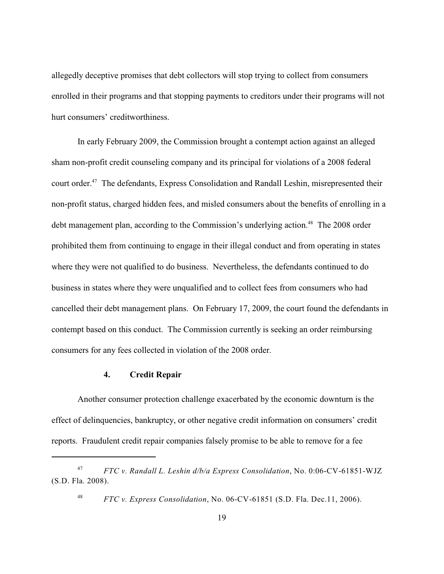allegedly deceptive promises that debt collectors will stop trying to collect from consumers enrolled in their programs and that stopping payments to creditors under their programs will not hurt consumers' creditworthiness.

In early February 2009, the Commission brought a contempt action against an alleged sham non-profit credit counseling company and its principal for violations of a 2008 federal court order.<sup>47</sup> The defendants, Express Consolidation and Randall Leshin, misrepresented their non-profit status, charged hidden fees, and misled consumers about the benefits of enrolling in a debt management plan, according to the Commission's underlying action.<sup>48</sup> The 2008 order prohibited them from continuing to engage in their illegal conduct and from operating in states where they were not qualified to do business. Nevertheless, the defendants continued to do business in states where they were unqualified and to collect fees from consumers who had cancelled their debt management plans. On February 17, 2009, the court found the defendants in contempt based on this conduct. The Commission currently is seeking an order reimbursing consumers for any fees collected in violation of the 2008 order.

## **4. Credit Repair**

Another consumer protection challenge exacerbated by the economic downturn is the effect of delinquencies, bankruptcy, or other negative credit information on consumers' credit reports. Fraudulent credit repair companies falsely promise to be able to remove for a fee

*FTC v. Randall L. Leshin d/b/a Express Consolidation*, No. 0:06-CV-61851-WJZ <sup>47</sup> (S.D. Fla. 2008).

<sup>&</sup>lt;sup>48</sup> *FTC v. Express Consolidation*, No. 06-CV-61851 (S.D. Fla. Dec.11, 2006).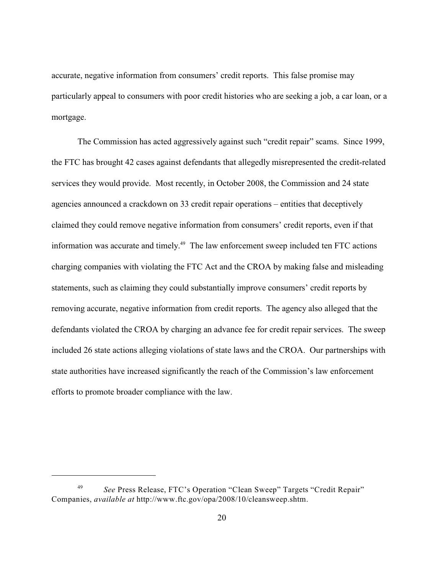accurate, negative information from consumers' credit reports. This false promise may particularly appeal to consumers with poor credit histories who are seeking a job, a car loan, or a mortgage.

The Commission has acted aggressively against such "credit repair" scams. Since 1999, the FTC has brought 42 cases against defendants that allegedly misrepresented the credit-related services they would provide. Most recently, in October 2008, the Commission and 24 state agencies announced a crackdown on 33 credit repair operations – entities that deceptively claimed they could remove negative information from consumers' credit reports, even if that information was accurate and timely.<sup> $49$ </sup> The law enforcement sweep included ten FTC actions charging companies with violating the FTC Act and the CROA by making false and misleading statements, such as claiming they could substantially improve consumers' credit reports by removing accurate, negative information from credit reports. The agency also alleged that the defendants violated the CROA by charging an advance fee for credit repair services. The sweep included 26 state actions alleging violations of state laws and the CROA. Our partnerships with state authorities have increased significantly the reach of the Commission's law enforcement efforts to promote broader compliance with the law.

<sup>&</sup>lt;sup>49</sup> See Press Release, FTC's Operation "Clean Sweep" Targets "Credit Repair" Companies, *available at* http://www.ftc.gov/opa/2008/10/cleansweep.shtm.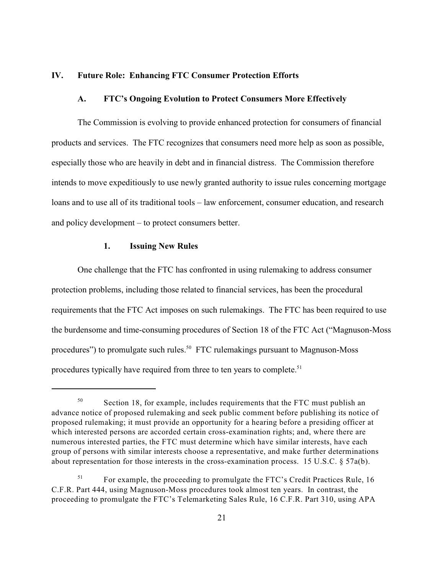# **IV. Future Role: Enhancing FTC Consumer Protection Efforts**

#### **A. FTC's Ongoing Evolution to Protect Consumers More Effectively**

The Commission is evolving to provide enhanced protection for consumers of financial products and services. The FTC recognizes that consumers need more help as soon as possible, especially those who are heavily in debt and in financial distress. The Commission therefore intends to move expeditiously to use newly granted authority to issue rules concerning mortgage loans and to use all of its traditional tools – law enforcement, consumer education, and research and policy development – to protect consumers better.

#### **1. Issuing New Rules**

One challenge that the FTC has confronted in using rulemaking to address consumer protection problems, including those related to financial services, has been the procedural requirements that the FTC Act imposes on such rulemakings. The FTC has been required to use the burdensome and time-consuming procedures of Section 18 of the FTC Act ("Magnuson-Moss procedures") to promulgate such rules.<sup>50</sup> FTC rulemakings pursuant to Magnuson-Moss procedures typically have required from three to ten years to complete.<sup>51</sup>

 $50$  Section 18, for example, includes requirements that the FTC must publish an advance notice of proposed rulemaking and seek public comment before publishing its notice of proposed rulemaking; it must provide an opportunity for a hearing before a presiding officer at which interested persons are accorded certain cross-examination rights; and, where there are numerous interested parties, the FTC must determine which have similar interests, have each group of persons with similar interests choose a representative, and make further determinations about representation for those interests in the cross-examination process. 15 U.S.C. § 57a(b).

 $F<sup>51</sup>$  For example, the proceeding to promulgate the FTC's Credit Practices Rule, 16 C.F.R. Part 444, using Magnuson-Moss procedures took almost ten years. In contrast, the proceeding to promulgate the FTC's Telemarketing Sales Rule, 16 C.F.R. Part 310, using APA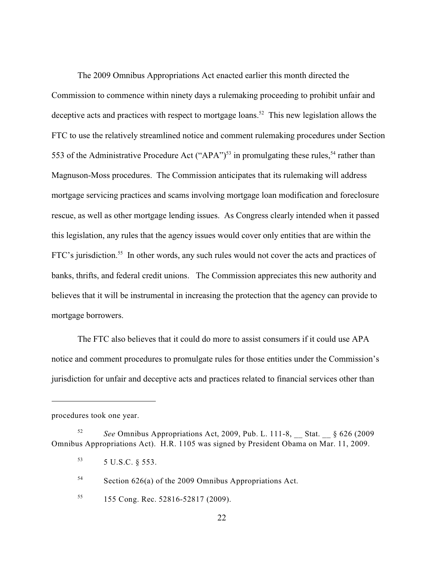The 2009 Omnibus Appropriations Act enacted earlier this month directed the Commission to commence within ninety days a rulemaking proceeding to prohibit unfair and deceptive acts and practices with respect to mortgage loans.<sup>52</sup> This new legislation allows the FTC to use the relatively streamlined notice and comment rulemaking procedures under Section 553 of the Administrative Procedure Act ("APA")<sup>53</sup> in promulgating these rules,<sup>54</sup> rather than Magnuson-Moss procedures. The Commission anticipates that its rulemaking will address mortgage servicing practices and scams involving mortgage loan modification and foreclosure rescue, as well as other mortgage lending issues. As Congress clearly intended when it passed this legislation, any rules that the agency issues would cover only entities that are within the FTC's jurisdiction.<sup>55</sup> In other words, any such rules would not cover the acts and practices of banks, thrifts, and federal credit unions. The Commission appreciates this new authority and believes that it will be instrumental in increasing the protection that the agency can provide to mortgage borrowers.

The FTC also believes that it could do more to assist consumers if it could use APA notice and comment procedures to promulgate rules for those entities under the Commission's jurisdiction for unfair and deceptive acts and practices related to financial services other than

procedures took one year.

 $54$  Section 626(a) of the 2009 Omnibus Appropriations Act.

*S2 See* Omnibus Appropriations Act, 2009, Pub. L. 111-8, Stat.  $\frac{6}{5}$  626 (2009 Omnibus Appropriations Act). H.R. 1105 was signed by President Obama on Mar. 11, 2009.

 $5 \text{ U.S.C. }$  \$553.

<sup>&</sup>lt;sup>55</sup> 155 Cong. Rec. 52816-52817 (2009).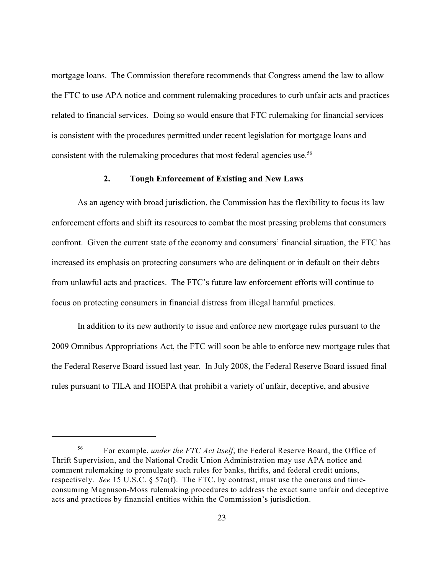mortgage loans. The Commission therefore recommends that Congress amend the law to allow the FTC to use APA notice and comment rulemaking procedures to curb unfair acts and practices related to financial services. Doing so would ensure that FTC rulemaking for financial services is consistent with the procedures permitted under recent legislation for mortgage loans and consistent with the rulemaking procedures that most federal agencies use. 56

### **2. Tough Enforcement of Existing and New Laws**

As an agency with broad jurisdiction, the Commission has the flexibility to focus its law enforcement efforts and shift its resources to combat the most pressing problems that consumers confront. Given the current state of the economy and consumers' financial situation, the FTC has increased its emphasis on protecting consumers who are delinquent or in default on their debts from unlawful acts and practices. The FTC's future law enforcement efforts will continue to focus on protecting consumers in financial distress from illegal harmful practices.

In addition to its new authority to issue and enforce new mortgage rules pursuant to the 2009 Omnibus Appropriations Act, the FTC will soon be able to enforce new mortgage rules that the Federal Reserve Board issued last year. In July 2008, the Federal Reserve Board issued final rules pursuant to TILA and HOEPA that prohibit a variety of unfair, deceptive, and abusive

For example, *under the FTC Act itself*, the Federal Reserve Board, the Office of <sup>56</sup> Thrift Supervision, and the National Credit Union Administration may use APA notice and comment rulemaking to promulgate such rules for banks, thrifts, and federal credit unions, respectively. *See* 15 U.S.C. § 57a(f). The FTC, by contrast, must use the onerous and timeconsuming Magnuson-Moss rulemaking procedures to address the exact same unfair and deceptive acts and practices by financial entities within the Commission's jurisdiction.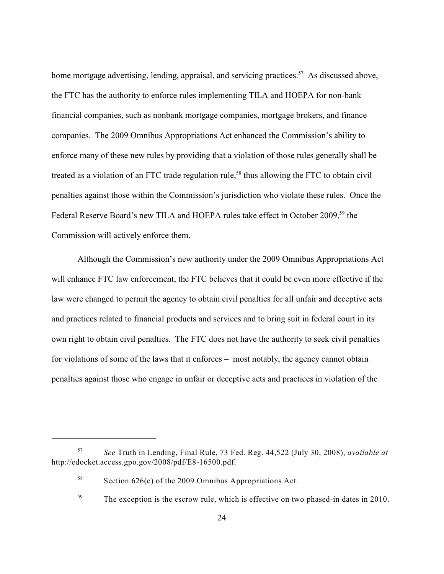home mortgage advertising, lending, appraisal, and servicing practices.<sup>57</sup> As discussed above, the FTC has the authority to enforce rules implementing TILA and HOEPA for non-bank financial companies, such as nonbank mortgage companies, mortgage brokers, and finance companies. The 2009 Omnibus Appropriations Act enhanced the Commission's ability to enforce many of these new rules by providing that a violation of those rules generally shall be treated as a violation of an FTC trade regulation rule,<sup>58</sup> thus allowing the FTC to obtain civil penalties against those within the Commission's jurisdiction who violate these rules. Once the Federal Reserve Board's new TILA and HOEPA rules take effect in October 2009,<sup>59</sup> the Commission will actively enforce them.

Although the Commission's new authority under the 2009 Omnibus Appropriations Act will enhance FTC law enforcement, the FTC believes that it could be even more effective if the law were changed to permit the agency to obtain civil penalties for all unfair and deceptive acts and practices related to financial products and services and to bring suit in federal court in its own right to obtain civil penalties. The FTC does not have the authority to seek civil penalties for violations of some of the laws that it enforces – most notably, the agency cannot obtain penalties against those who engage in unfair or deceptive acts and practices in violation of the

<sup>&</sup>lt;sup>57</sup> See Truth in Lending, Final Rule, 73 Fed. Reg. 44,522 (July 30, 2008), *available at* http://edocket.access.gpo.gov/2008/pdf/E8-16500.pdf.

<sup>&</sup>lt;sup>58</sup> Section 626(c) of the 2009 Omnibus Appropriations Act.

 $T_{\text{1}}^{59}$  The exception is the escrow rule, which is effective on two phased-in dates in 2010.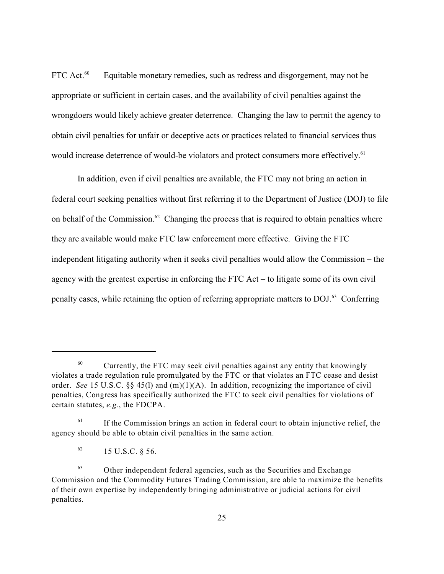FTC Act. $60$  Equitable monetary remedies, such as redress and disgorgement, may not be appropriate or sufficient in certain cases, and the availability of civil penalties against the wrongdoers would likely achieve greater deterrence. Changing the law to permit the agency to obtain civil penalties for unfair or deceptive acts or practices related to financial services thus would increase deterrence of would-be violators and protect consumers more effectively.<sup>61</sup>

In addition, even if civil penalties are available, the FTC may not bring an action in federal court seeking penalties without first referring it to the Department of Justice (DOJ) to file on behalf of the Commission. $62$  Changing the process that is required to obtain penalties where they are available would make FTC law enforcement more effective. Giving the FTC independent litigating authority when it seeks civil penalties would allow the Commission – the agency with the greatest expertise in enforcing the FTC Act – to litigate some of its own civil penalty cases, while retaining the option of referring appropriate matters to DOJ.<sup>63</sup> Conferring

 $^{60}$  Currently, the FTC may seek civil penalties against any entity that knowingly violates a trade regulation rule promulgated by the FTC or that violates an FTC cease and desist order. *See* 15 U.S.C. §§ 45(l) and (m)(1)(A). In addition, recognizing the importance of civil penalties, Congress has specifically authorized the FTC to seek civil penalties for violations of certain statutes, *e.g.*, the FDCPA.

 $1<sup>61</sup>$  If the Commission brings an action in federal court to obtain injunctive relief, the agency should be able to obtain civil penalties in the same action.

 $^{62}$  15 U.S.C. § 56.

 $63$  Other independent federal agencies, such as the Securities and Exchange Commission and the Commodity Futures Trading Commission, are able to maximize the benefits of their own expertise by independently bringing administrative or judicial actions for civil penalties.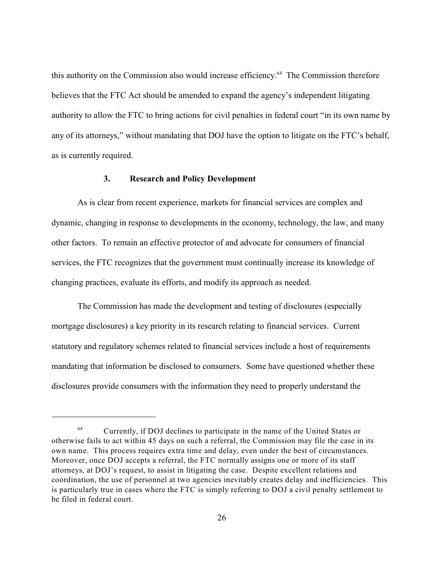this authority on the Commission also would increase efficiency.<sup>64</sup> The Commission therefore believes that the FTC Act should be amended to expand the agency's independent litigating authority to allow the FTC to bring actions for civil penalties in federal court "in its own name by any of its attorneys," without mandating that DOJ have the option to litigate on the FTC's behalf, as is currently required.

### **3. Research and Policy Development**

As is clear from recent experience, markets for financial services are complex and dynamic, changing in response to developments in the economy, technology, the law, and many other factors. To remain an effective protector of and advocate for consumers of financial services, the FTC recognizes that the government must continually increase its knowledge of changing practices, evaluate its efforts, and modify its approach as needed.

The Commission has made the development and testing of disclosures (especially mortgage disclosures) a key priority in its research relating to financial services. Current statutory and regulatory schemes related to financial services include a host of requirements mandating that information be disclosed to consumers. Some have questioned whether these disclosures provide consumers with the information they need to properly understand the

 $^{64}$  Currently, if DOJ declines to participate in the name of the United States or otherwise fails to act within 45 days on such a referral, the Commission may file the case in its own name. This process requires extra time and delay, even under the best of circumstances. Moreover, once DOJ accepts a referral, the FTC normally assigns one or more of its staff attorneys, at DOJ's request, to assist in litigating the case. Despite excellent relations and coordination, the use of personnel at two agencies inevitably creates delay and inefficiencies. This is particularly true in cases where the FTC is simply referring to DOJ a civil penalty settlement to be filed in federal court.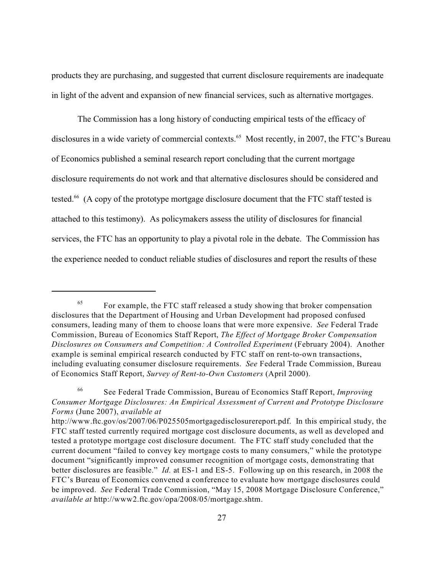products they are purchasing, and suggested that current disclosure requirements are inadequate in light of the advent and expansion of new financial services, such as alternative mortgages.

The Commission has a long history of conducting empirical tests of the efficacy of disclosures in a wide variety of commercial contexts.<sup>65</sup> Most recently, in 2007, the FTC's Bureau of Economics published a seminal research report concluding that the current mortgage disclosure requirements do not work and that alternative disclosures should be considered and tested.<sup>66</sup> (A copy of the prototype mortgage disclosure document that the FTC staff tested is attached to this testimony). As policymakers assess the utility of disclosures for financial services, the FTC has an opportunity to play a pivotal role in the debate. The Commission has the experience needed to conduct reliable studies of disclosures and report the results of these

 $F$ <sup>65</sup> For example, the FTC staff released a study showing that broker compensation disclosures that the Department of Housing and Urban Development had proposed confused consumers, leading many of them to choose loans that were more expensive. *See* Federal Trade Commission, Bureau of Economics Staff Report, *The Effect of Mortgage Broker Compensation Disclosures on Consumers and Competition: A Controlled Experiment* (February 2004). Another example is seminal empirical research conducted by FTC staff on rent-to-own transactions, including evaluating consumer disclosure requirements. *See* Federal Trade Commission, Bureau of Economics Staff Report, *Survey of Rent-to-Own Customers* (April 2000).

See Federal Trade Commission, Bureau of Economics Staff Report, *Improving* <sup>66</sup> *Consumer Mortgage Disclosures: An Empirical Assessment of Current and Prototype Disclosure Forms* (June 2007), *available at*

http://www.ftc.gov/os/2007/06/P025505mortgagedisclosurereport.pdf. In this empirical study, the FTC staff tested currently required mortgage cost disclosure documents, as well as developed and tested a prototype mortgage cost disclosure document. The FTC staff study concluded that the current document "failed to convey key mortgage costs to many consumers," while the prototype document "significantly improved consumer recognition of mortgage costs, demonstrating that better disclosures are feasible." *Id.* at ES-1 and ES-5. Following up on this research, in 2008 the FTC's Bureau of Economics convened a conference to evaluate how mortgage disclosures could be improved. *See* Federal Trade Commission, "May 15, 2008 Mortgage Disclosure Conference," *available at* http://www2.ftc.gov/opa/2008/05/mortgage.shtm.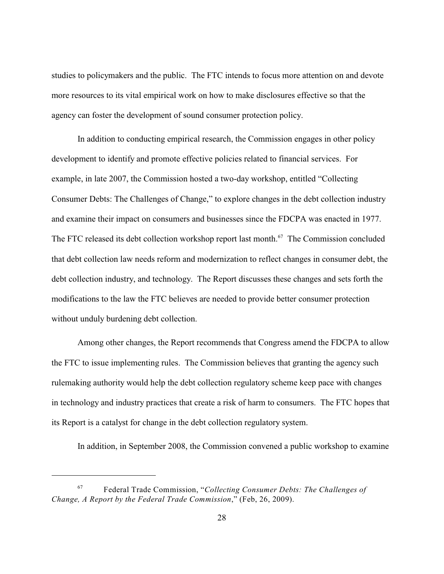studies to policymakers and the public. The FTC intends to focus more attention on and devote more resources to its vital empirical work on how to make disclosures effective so that the agency can foster the development of sound consumer protection policy.

In addition to conducting empirical research, the Commission engages in other policy development to identify and promote effective policies related to financial services. For example, in late 2007, the Commission hosted a two-day workshop, entitled "Collecting Consumer Debts: The Challenges of Change," to explore changes in the debt collection industry and examine their impact on consumers and businesses since the FDCPA was enacted in 1977. The FTC released its debt collection workshop report last month.<sup> $67$ </sup> The Commission concluded that debt collection law needs reform and modernization to reflect changes in consumer debt, the debt collection industry, and technology. The Report discusses these changes and sets forth the modifications to the law the FTC believes are needed to provide better consumer protection without unduly burdening debt collection.

Among other changes, the Report recommends that Congress amend the FDCPA to allow the FTC to issue implementing rules. The Commission believes that granting the agency such rulemaking authority would help the debt collection regulatory scheme keep pace with changes in technology and industry practices that create a risk of harm to consumers. The FTC hopes that its Report is a catalyst for change in the debt collection regulatory system.

In addition, in September 2008, the Commission convened a public workshop to examine

Federal Trade Commission, "*Collecting Consumer Debts: The Challenges of* <sup>67</sup> *Change, A Report by the Federal Trade Commission*," (Feb, 26, 2009).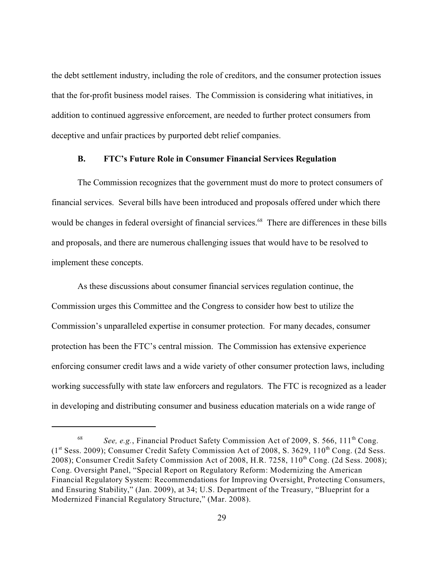the debt settlement industry, including the role of creditors, and the consumer protection issues that the for-profit business model raises. The Commission is considering what initiatives, in addition to continued aggressive enforcement, are needed to further protect consumers from deceptive and unfair practices by purported debt relief companies.

### **B. FTC's Future Role in Consumer Financial Services Regulation**

The Commission recognizes that the government must do more to protect consumers of financial services. Several bills have been introduced and proposals offered under which there would be changes in federal oversight of financial services.<sup>68</sup> There are differences in these bills and proposals, and there are numerous challenging issues that would have to be resolved to implement these concepts.

As these discussions about consumer financial services regulation continue, the Commission urges this Committee and the Congress to consider how best to utilize the Commission's unparalleled expertise in consumer protection. For many decades, consumer protection has been the FTC's central mission. The Commission has extensive experience enforcing consumer credit laws and a wide variety of other consumer protection laws, including working successfully with state law enforcers and regulators. The FTC is recognized as a leader in developing and distributing consumer and business education materials on a wide range of

<sup>&</sup>lt;sup>68</sup> See, e.g., Financial Product Safety Commission Act of 2009, S. 566, 111<sup>th</sup> Cong.  $(1<sup>st</sup> Sess. 2009)$ ; Consumer Credit Safety Commission Act of 2008, S. 3629, 110<sup>th</sup> Cong. (2d Sess. 2008); Consumer Credit Safety Commission Act of 2008, H.R. 7258, 110<sup>th</sup> Cong. (2d Sess. 2008); Cong. Oversight Panel, "Special Report on Regulatory Reform: Modernizing the American Financial Regulatory System: Recommendations for Improving Oversight, Protecting Consumers, and Ensuring Stability," (Jan. 2009), at 34; U.S. Department of the Treasury, "Blueprint for a Modernized Financial Regulatory Structure," (Mar. 2008).